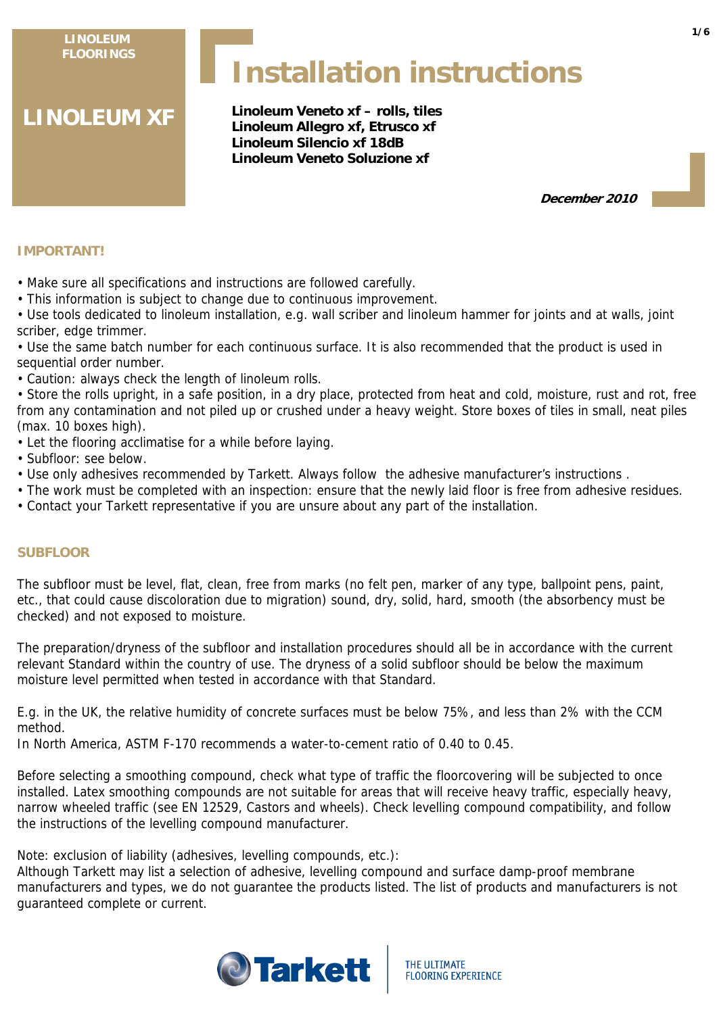**LINOLEUM FLOORINGS**

# **Installation instructions**

**LINOLEUM XF**

**Linoleum Veneto xf – rolls, tiles Linoleum Allegro xf, Etrusco xf Linoleum Silencio xf 18dB Linoleum Veneto Soluzione xf**

**December 2010**

# **IMPORTANT!**

• Make sure all specifications and instructions are followed carefully.

• This information is subject to change due to continuous improvement.

• Use tools dedicated to linoleum installation, e.g. wall scriber and linoleum hammer for joints and at walls, joint scriber, edge trimmer.

• Use the same batch number for each continuous surface. It is also recommended that the product is used in sequential order number.

• Caution: always check the length of linoleum rolls.

• Store the rolls upright, in a safe position, in a dry place, protected from heat and cold, moisture, rust and rot, free from any contamination and not piled up or crushed under a heavy weight. Store boxes of tiles in small, neat piles (max. 10 boxes high).

• Let the flooring acclimatise for a while before laying.

- Subfloor: see below.
- Use only adhesives recommended by Tarkett. Always follow the adhesive manufacturer's instructions .
- The work must be completed with an inspection: ensure that the newly laid floor is free from adhesive residues.
- Contact your Tarkett representative if you are unsure about any part of the installation.

# **SUBFLOOR**

The subfloor must be level, flat, clean, free from marks (no felt pen, marker of any type, ballpoint pens, paint, etc., that could cause discoloration due to migration) sound, dry, solid, hard, smooth (the absorbency must be checked) and not exposed to moisture.

The preparation/dryness of the subfloor and installation procedures should all be in accordance with the current relevant Standard within the country of use. The dryness of a solid subfloor should be below the maximum moisture level permitted when tested in accordance with that Standard.

E.g. in the UK, the relative humidity of concrete surfaces must be below 75%, and less than 2% with the CCM method.

In North America, ASTM F-170 recommends a water-to-cement ratio of 0.40 to 0.45.

Before selecting a smoothing compound, check what type of traffic the floorcovering will be subjected to once installed. Latex smoothing compounds are not suitable for areas that will receive heavy traffic, especially heavy, narrow wheeled traffic (see EN 12529, Castors and wheels). Check levelling compound compatibility, and follow the instructions of the levelling compound manufacturer.

Note: exclusion of liability (adhesives, levelling compounds, etc.):

Although Tarkett may list a selection of adhesive, levelling compound and surface damp-proof membrane manufacturers and types, we do not guarantee the products listed. The list of products and manufacturers is not guaranteed complete or current.



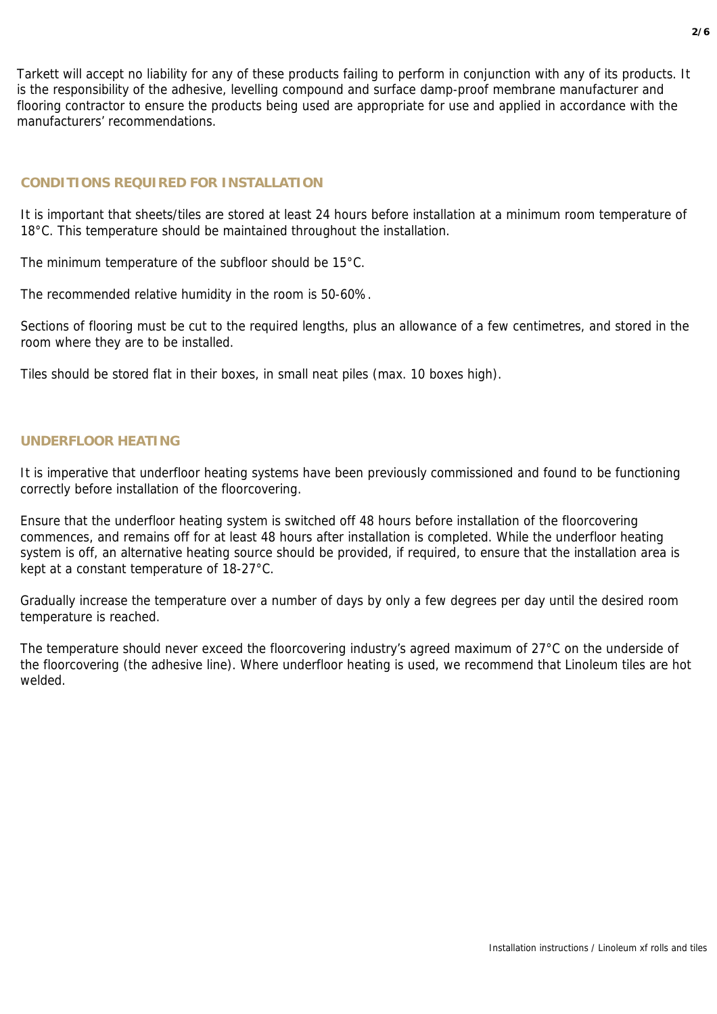Tarkett will accept no liability for any of these products failing to perform in conjunction with any of its products. It is the responsibility of the adhesive, levelling compound and surface damp-proof membrane manufacturer and flooring contractor to ensure the products being used are appropriate for use and applied in accordance with the manufacturers' recommendations.

# **CONDITIONS REQUIRED FOR INSTALLATION**

It is important that sheets/tiles are stored at least 24 hours before installation at a minimum room temperature of 18°C. This temperature should be maintained throughout the installation.

The minimum temperature of the subfloor should be 15°C.

The recommended relative humidity in the room is 50-60%.

Sections of flooring must be cut to the required lengths, plus an allowance of a few centimetres, and stored in the room where they are to be installed.

Tiles should be stored flat in their boxes, in small neat piles (max. 10 boxes high).

## **UNDERFLOOR HEATING**

It is imperative that underfloor heating systems have been previously commissioned and found to be functioning correctly before installation of the floorcovering.

Ensure that the underfloor heating system is switched off 48 hours before installation of the floorcovering commences, and remains off for at least 48 hours after installation is completed. While the underfloor heating system is off, an alternative heating source should be provided, if required, to ensure that the installation area is kept at a constant temperature of 18-27°C.

Gradually increase the temperature over a number of days by only a few degrees per day until the desired room temperature is reached.

The temperature should never exceed the floorcovering industry's agreed maximum of 27°C on the underside of the floorcovering (the adhesive line). Where underfloor heating is used, we recommend that Linoleum tiles are hot welded.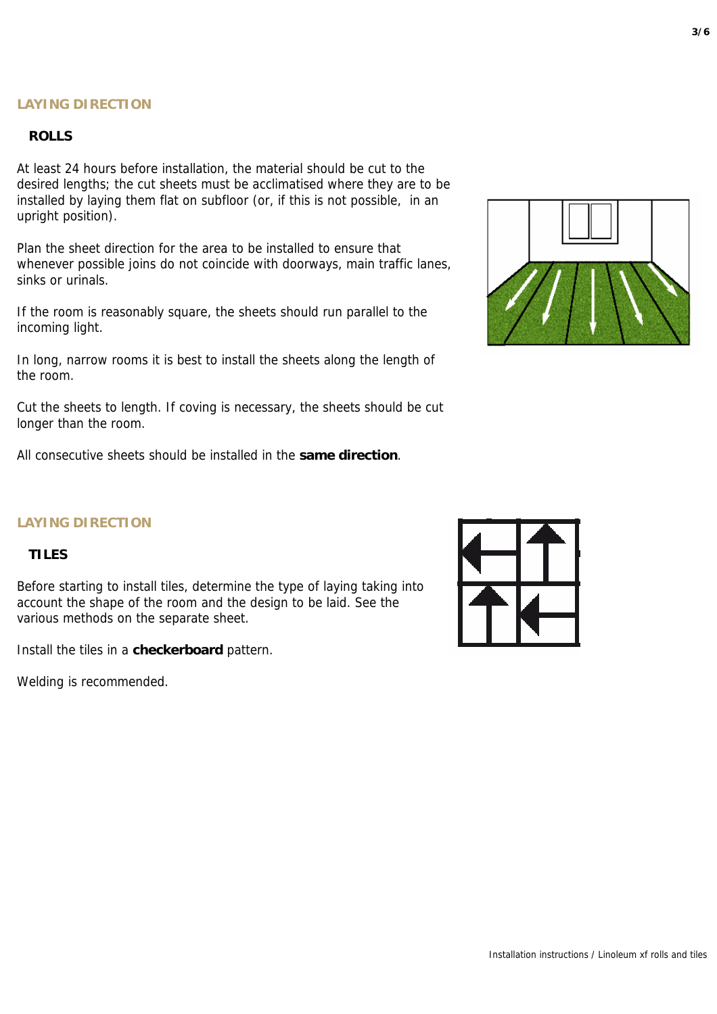# **ROLLS**

At least 24 hours before installation, the material should be cut to the desired lengths; the cut sheets must be acclimatised where they are to be installed by laying them flat on subfloor (or, if this is not possible, in an upright position).

Plan the sheet direction for the area to be installed to ensure that whenever possible joins do not coincide with doorways, main traffic lanes, sinks or urinals.

If the room is reasonably square, the sheets should run parallel to the incoming light.

In long, narrow rooms it is best to install the sheets along the length of the room.

Cut the sheets to length. If coving is necessary, the sheets should be cut longer than the room.

All consecutive sheets should be installed in the **same direction**.



# **LAYING DIRECTION**

# **TILES**

Before starting to install tiles, determine the type of laying taking into account the shape of the room and the design to be laid. See the various methods on the separate sheet.

Install the tiles in a **checkerboard** pattern.

Welding is recommended.

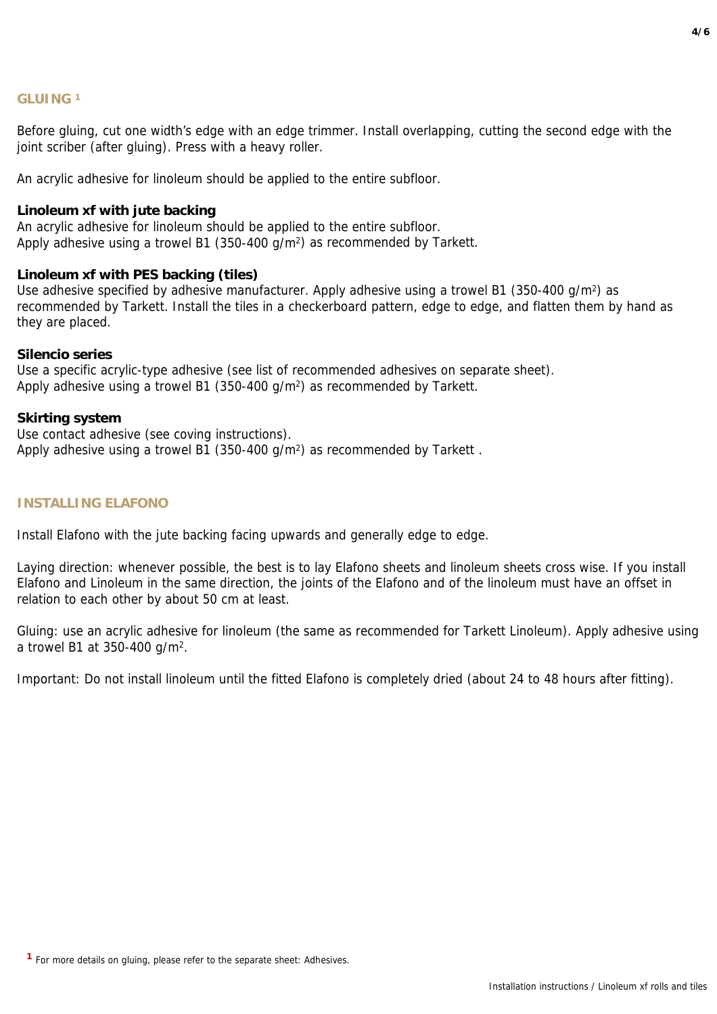# **GLUING 1**

Before gluing, cut one width's edge with an edge trimmer. Install overlapping, cutting the second edge with the joint scriber (after gluing). Press with a heavy roller.

An acrylic adhesive for linoleum should be applied to the entire subfloor.

## **Linoleum xf with jute backing**

An acrylic adhesive for linoleum should be applied to the entire subfloor. Apply adhesive using a trowel B1 (350-400 g/m2) as recommended by Tarkett.

#### **Linoleum xf with PES backing (tiles)**

Use adhesive specified by adhesive manufacturer. Apply adhesive using a trowel B1 (350-400 g/m<sup>2</sup>) as recommended by Tarkett. Install the tiles in a checkerboard pattern, edge to edge, and flatten them by hand as they are placed.

#### **Silencio series**

Use a specific acrylic-type adhesive (see list of recommended adhesives on separate sheet). Apply adhesive using a trowel B1 (350-400 g/m2) as recommended by Tarkett.

#### **Skirting system**

Use contact adhesive (see coving instructions). Apply adhesive using a trowel B1 (350-400 g/m<sup>2</sup>) as recommended by Tarkett.

#### **INSTALLING ELAFONO**

Install Elafono with the jute backing facing upwards and generally edge to edge.

Laying direction: whenever possible, the best is to lay Elafono sheets and linoleum sheets cross wise. If you install Elafono and Linoleum in the same direction, the joints of the Elafono and of the linoleum must have an offset in relation to each other by about 50 cm at least.

Gluing: use an acrylic adhesive for linoleum (the same as recommended for Tarkett Linoleum). Apply adhesive using a trowel B1 at 350-400 g/m2.

Important: Do not install linoleum until the fitted Elafono is completely dried (about 24 to 48 hours after fitting).

**<sup>1</sup>**For more details on gluing, please refer to the separate sheet: Adhesives.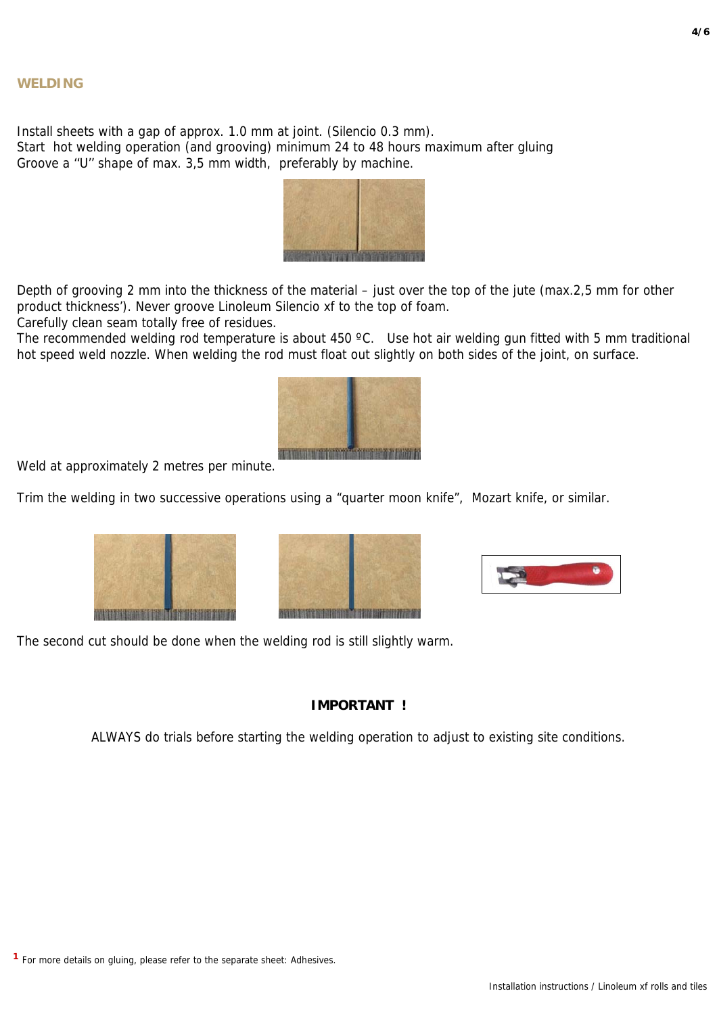Install sheets with a gap of approx. 1.0 mm at joint. (Silencio 0.3 mm). Start hot welding operation (and grooving) minimum 24 to 48 hours maximum after gluing Groove a ''U'' shape of max. 3,5 mm width, preferably by machine.



Depth of grooving 2 mm into the thickness of the material – just over the top of the jute (max.2,5 mm for other product thickness'). Never groove Linoleum Silencio xf to the top of foam.

Carefully clean seam totally free of residues.

The recommended welding rod temperature is about 450 °C. Use hot air welding gun fitted with 5 mm traditional hot speed weld nozzle. When welding the rod must float out slightly on both sides of the joint, on surface.



Weld at approximately 2 metres per minute.

Trim the welding in two successive operations using a "quarter moon knife", Mozart knife, or similar.







The second cut should be done when the welding rod is still slightly warm.

# **IMPORTANT !**

ALWAYS do trials before starting the welding operation to adjust to existing site conditions.

**4/6**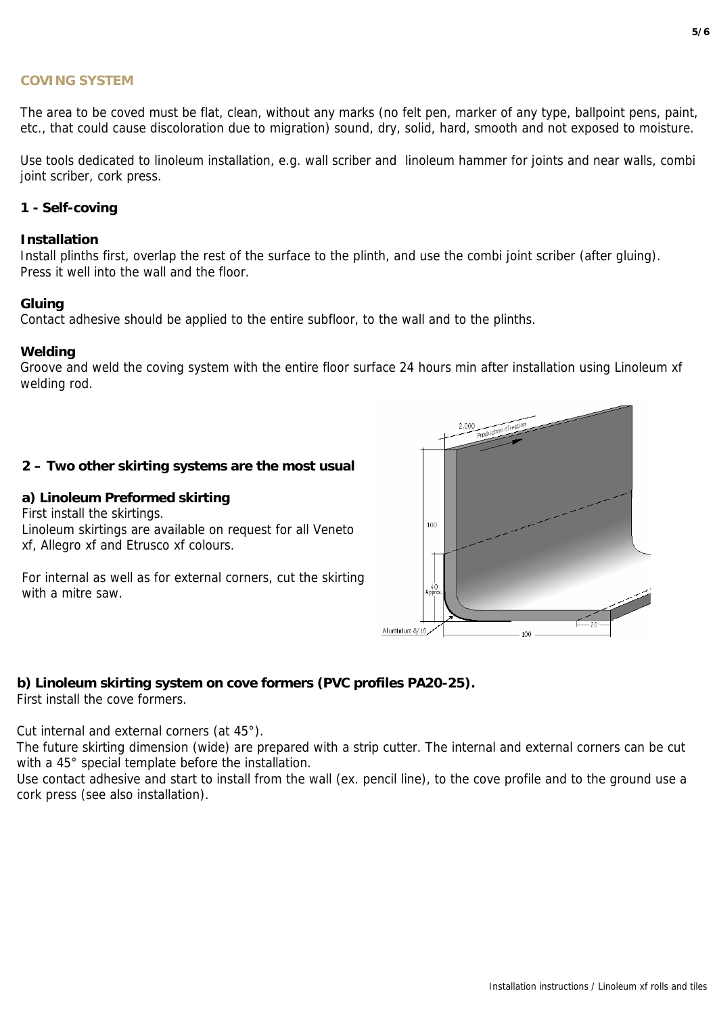#### **COVING SYSTEM**

The area to be coved must be flat, clean, without any marks (no felt pen, marker of any type, ballpoint pens, paint, etc., that could cause discoloration due to migration) sound, dry, solid, hard, smooth and not exposed to moisture.

Use tools dedicated to linoleum installation, e.g. wall scriber and linoleum hammer for joints and near walls, combi joint scriber, cork press.

# **1 - Self-coving**

## **Installation**

Install plinths first, overlap the rest of the surface to the plinth, and use the combi joint scriber (after gluing). Press it well into the wall and the floor.

#### **Gluing**

Contact adhesive should be applied to the entire subfloor, to the wall and to the plinths.

#### **Welding**

Groove and weld the coving system with the entire floor surface 24 hours min after installation using Linoleum xf welding rod.

## **2 – Two other skirting systems are the most usual**

## **a) Linoleum Preformed skirting**

First install the skirtings. Linoleum skirtings are available on request for all Veneto xf, Allegro xf and Etrusco xf colours.

For internal as well as for external corners, cut the skirting with a mitre saw.



# **b) Linoleum skirting system on cove formers (PVC profiles PA20-25).**

First install the cove formers.

Cut internal and external corners (at 45°).

The future skirting dimension (wide) are prepared with a strip cutter. The internal and external corners can be cut with a 45° special template before the installation.

Use contact adhesive and start to install from the wall (ex. pencil line), to the cove profile and to the ground use a cork press (see also installation).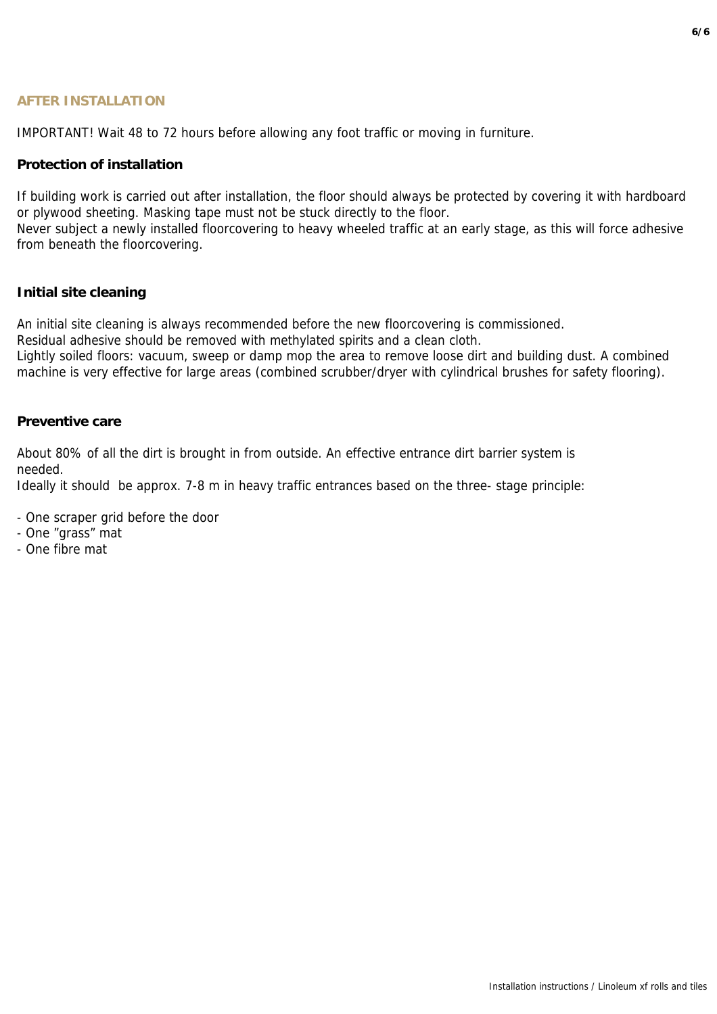# **AFTER INSTALLATION**

IMPORTANT! Wait 48 to 72 hours before allowing any foot traffic or moving in furniture.

## **Protection of installation**

If building work is carried out after installation, the floor should always be protected by covering it with hardboard or plywood sheeting. Masking tape must not be stuck directly to the floor.

Never subject a newly installed floorcovering to heavy wheeled traffic at an early stage, as this will force adhesive from beneath the floorcovering.

#### **Initial site cleaning**

An initial site cleaning is always recommended before the new floorcovering is commissioned.

Residual adhesive should be removed with methylated spirits and a clean cloth.

Lightly soiled floors: vacuum, sweep or damp mop the area to remove loose dirt and building dust. A combined machine is very effective for large areas (combined scrubber/dryer with cylindrical brushes for safety flooring).

#### **Preventive care**

About 80% of all the dirt is brought in from outside. An effective entrance dirt barrier system is needed.

Ideally it should be approx. 7-8 m in heavy traffic entrances based on the three- stage principle:

- One scraper grid before the door
- One "grass" mat
- One fibre mat